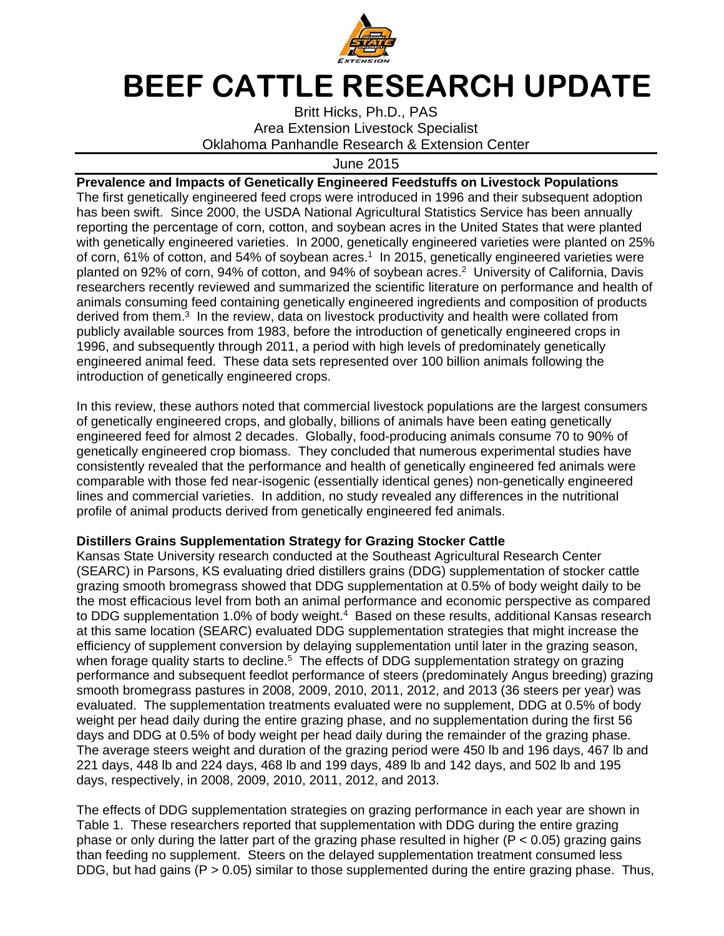

## **BEEF CATTLE RESEARCH UPDATE**

Britt Hicks, Ph.D., PAS Area Extension Livestock Specialist Oklahoma Panhandle Research & Extension Center

June 2015

**Prevalence and Impacts of Genetically Engineered Feedstuffs on Livestock Populations**  The first genetically engineered feed crops were introduced in 1996 and their subsequent adoption has been swift. Since 2000, the USDA National Agricultural Statistics Service has been annually reporting the percentage of corn, cotton, and soybean acres in the United States that were planted with genetically engineered varieties. In 2000, genetically engineered varieties were planted on 25% of corn, 61% of cotton, and 54% of soybean acres.<sup>1</sup> In 2015, genetically engineered varieties were planted on 92% of corn, 94% of cotton, and 94% of soybean acres.<sup>2</sup> University of California, Davis researchers recently reviewed and summarized the scientific literature on performance and health of animals consuming feed containing genetically engineered ingredients and composition of products derived from them.<sup>3</sup> In the review, data on livestock productivity and health were collated from publicly available sources from 1983, before the introduction of genetically engineered crops in 1996, and subsequently through 2011, a period with high levels of predominately genetically engineered animal feed. These data sets represented over 100 billion animals following the introduction of genetically engineered crops.

In this review, these authors noted that commercial livestock populations are the largest consumers of genetically engineered crops, and globally, billions of animals have been eating genetically engineered feed for almost 2 decades. Globally, food-producing animals consume 70 to 90% of genetically engineered crop biomass. They concluded that numerous experimental studies have consistently revealed that the performance and health of genetically engineered fed animals were comparable with those fed near-isogenic (essentially identical genes) non-genetically engineered lines and commercial varieties. In addition, no study revealed any differences in the nutritional profile of animal products derived from genetically engineered fed animals.

## **Distillers Grains Supplementation Strategy for Grazing Stocker Cattle**

Kansas State University research conducted at the Southeast Agricultural Research Center (SEARC) in Parsons, KS evaluating dried distillers grains (DDG) supplementation of stocker cattle grazing smooth bromegrass showed that DDG supplementation at 0.5% of body weight daily to be the most efficacious level from both an animal performance and economic perspective as compared to DDG supplementation 1.0% of body weight.<sup>4</sup> Based on these results, additional Kansas research at this same location (SEARC) evaluated DDG supplementation strategies that might increase the efficiency of supplement conversion by delaying supplementation until later in the grazing season, when forage quality starts to decline.<sup>5</sup> The effects of DDG supplementation strategy on grazing performance and subsequent feedlot performance of steers (predominately Angus breeding) grazing smooth bromegrass pastures in 2008, 2009, 2010, 2011, 2012, and 2013 (36 steers per year) was evaluated. The supplementation treatments evaluated were no supplement, DDG at 0.5% of body weight per head daily during the entire grazing phase, and no supplementation during the first 56 days and DDG at 0.5% of body weight per head daily during the remainder of the grazing phase. The average steers weight and duration of the grazing period were 450 lb and 196 days, 467 lb and 221 days, 448 lb and 224 days, 468 lb and 199 days, 489 lb and 142 days, and 502 lb and 195 days, respectively, in 2008, 2009, 2010, 2011, 2012, and 2013.

The effects of DDG supplementation strategies on grazing performance in each year are shown in Table 1. These researchers reported that supplementation with DDG during the entire grazing phase or only during the latter part of the grazing phase resulted in higher ( $P < 0.05$ ) grazing gains than feeding no supplement. Steers on the delayed supplementation treatment consumed less DDG, but had gains ( $P > 0.05$ ) similar to those supplemented during the entire grazing phase. Thus,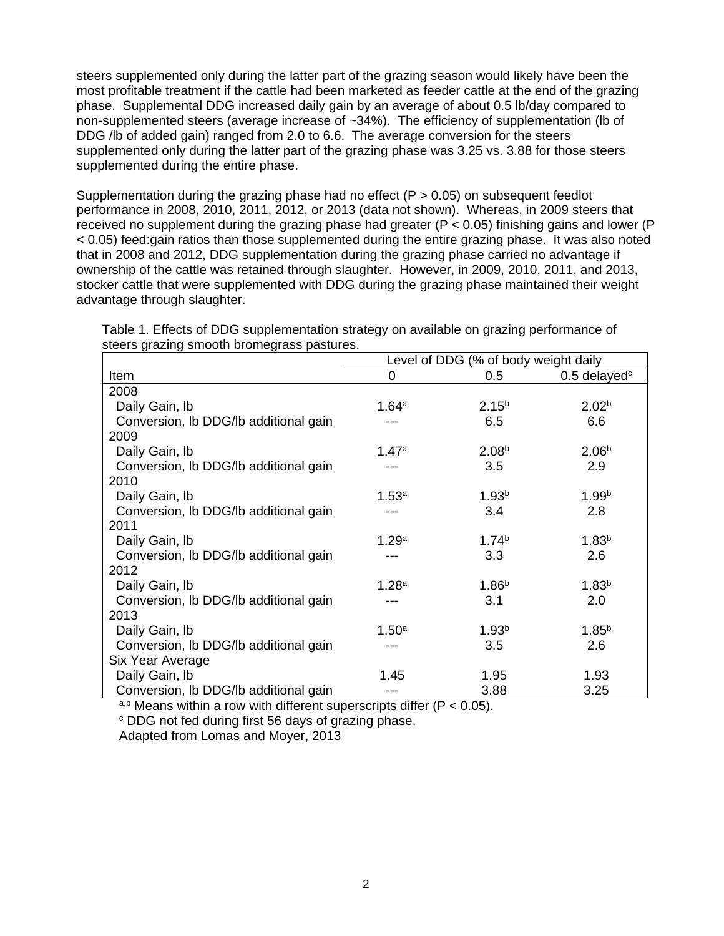steers supplemented only during the latter part of the grazing season would likely have been the most profitable treatment if the cattle had been marketed as feeder cattle at the end of the grazing phase. Supplemental DDG increased daily gain by an average of about 0.5 lb/day compared to non-supplemented steers (average increase of ~34%). The efficiency of supplementation (lb of DDG /lb of added gain) ranged from 2.0 to 6.6. The average conversion for the steers supplemented only during the latter part of the grazing phase was 3.25 vs. 3.88 for those steers supplemented during the entire phase.

Supplementation during the grazing phase had no effect ( $P > 0.05$ ) on subsequent feedlot performance in 2008, 2010, 2011, 2012, or 2013 (data not shown). Whereas, in 2009 steers that received no supplement during the grazing phase had greater (P < 0.05) finishing gains and lower (P < 0.05) feed:gain ratios than those supplemented during the entire grazing phase. It was also noted that in 2008 and 2012, DDG supplementation during the grazing phase carried no advantage if ownership of the cattle was retained through slaughter. However, in 2009, 2010, 2011, and 2013, stocker cattle that were supplemented with DDG during the grazing phase maintained their weight advantage through slaughter.

|                                       | Level of DDG (% of body weight daily |                   |                   |
|---------------------------------------|--------------------------------------|-------------------|-------------------|
| Item                                  | 0                                    | 0.5               | $0.5$ delayed $c$ |
| 2008                                  |                                      |                   |                   |
| Daily Gain, lb                        | 1.64a                                | 2.15 <sup>b</sup> | 2.02 <sup>b</sup> |
| Conversion, Ib DDG/Ib additional gain |                                      | 6.5               | 6.6               |
| 2009                                  |                                      |                   |                   |
| Daily Gain, Ib                        | 1.47a                                | 2.08 <sup>b</sup> | 2.06 <sup>b</sup> |
| Conversion, Ib DDG/Ib additional gain |                                      | 3.5               | 2.9               |
| 2010                                  |                                      |                   |                   |
| Daily Gain, Ib                        | 1.53a                                | 1.93 <sup>b</sup> | 1.99 <sup>b</sup> |
| Conversion, Ib DDG/Ib additional gain |                                      | 3.4               | 2.8               |
| 2011                                  |                                      |                   |                   |
| Daily Gain, Ib                        | 1.29a                                | 1.74 <sup>b</sup> | 1.83 <sup>b</sup> |
| Conversion, Ib DDG/Ib additional gain |                                      | 3.3               | 2.6               |
| 2012                                  |                                      |                   |                   |
| Daily Gain, Ib                        | 1.28 <sup>a</sup>                    | 1.86 <sup>b</sup> | 1.83 <sup>b</sup> |
| Conversion, Ib DDG/Ib additional gain |                                      | 3.1               | 2.0               |
| 2013                                  |                                      |                   |                   |
| Daily Gain, Ib                        | 1.50 <sup>a</sup>                    | 1.93 <sup>b</sup> | $1.85^{b}$        |
| Conversion, Ib DDG/Ib additional gain |                                      | 3.5               | 2.6               |
| Six Year Average                      |                                      |                   |                   |
| Daily Gain, Ib                        | 1.45                                 | 1.95              | 1.93              |
| Conversion, Ib DDG/Ib additional gain |                                      | 3.88              | 3.25              |

Table 1. Effects of DDG supplementation strategy on available on grazing performance of steers grazing smooth bromegrass pastures.

a,b Means within a row with different superscripts differ (P < 0.05). <sup>c</sup> DDG not fed during first 56 days of grazing phase.

Adapted from Lomas and Moyer, 2013